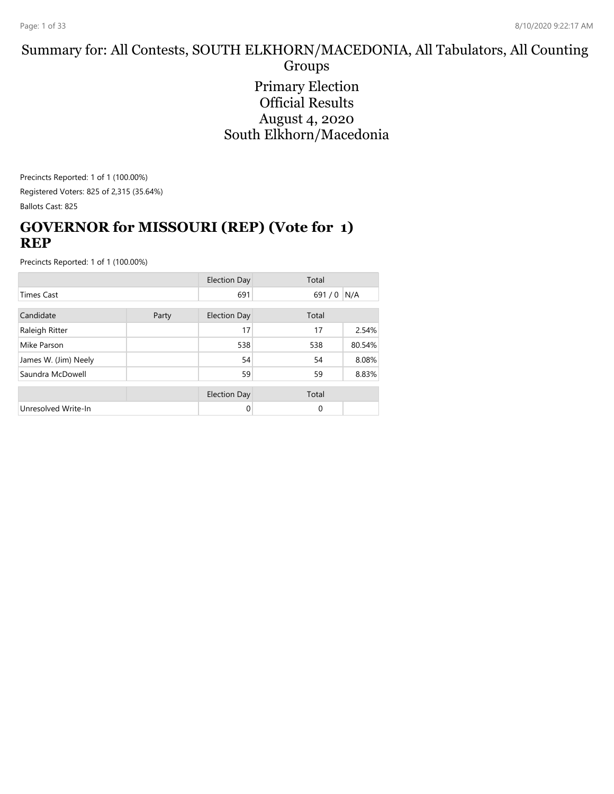#### Summary for: All Contests, SOUTH ELKHORN/MACEDONIA, All Tabulators, All Counting Groups

Primary Election Official Results August 4, 2020 South Elkhorn/Macedonia

Precincts Reported: 1 of 1 (100.00%) Registered Voters: 825 of 2,315 (35.64%)

Ballots Cast: 825

#### **GOVERNOR for MISSOURI (REP) (Vote for 1) REP**

|                      |       | <b>Election Day</b> | Total |        |
|----------------------|-------|---------------------|-------|--------|
| <b>Times Cast</b>    |       | 691                 | 691/0 | N/A    |
| Candidate            | Party | Election Day        | Total |        |
| Raleigh Ritter       |       | 17                  | 17    | 2.54%  |
| Mike Parson          |       | 538                 | 538   | 80.54% |
| James W. (Jim) Neely |       | 54                  | 54    | 8.08%  |
| Saundra McDowell     |       | 59                  | 59    | 8.83%  |
|                      |       | <b>Election Day</b> | Total |        |
| Unresolved Write-In  |       | $\Omega$            | 0     |        |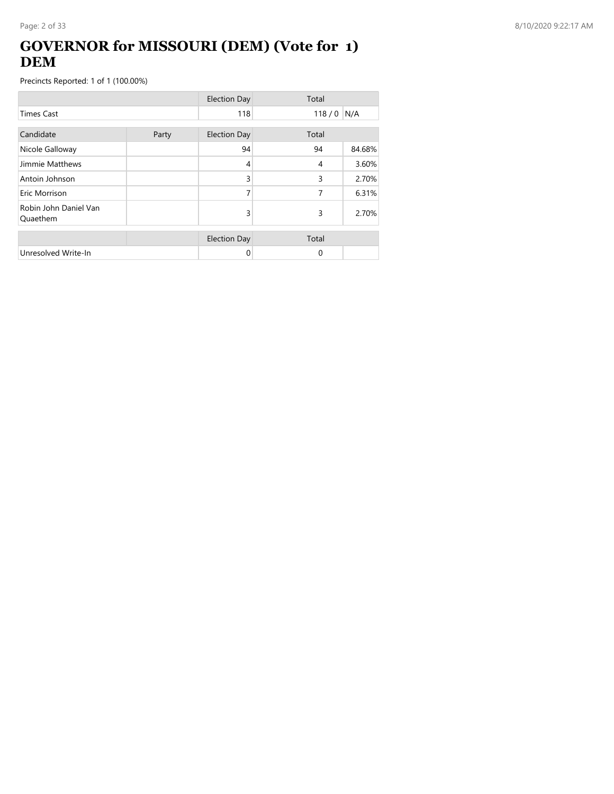## **GOVERNOR for MISSOURI (DEM) (Vote for 1) DEM**

|                                   |       | <b>Election Day</b> | Total       |        |
|-----------------------------------|-------|---------------------|-------------|--------|
| <b>Times Cast</b>                 |       | 118                 | $118/0$ N/A |        |
| Candidate                         | Party | <b>Election Day</b> | Total       |        |
| Nicole Galloway                   |       | 94                  | 94          | 84.68% |
| Jimmie Matthews                   |       | 4                   | 4           | 3.60%  |
| Antoin Johnson                    |       | 3                   | 3           | 2.70%  |
| Eric Morrison                     |       | 7                   | 7           | 6.31%  |
| Robin John Daniel Van<br>Quaethem |       | 3                   | 3           | 2.70%  |
|                                   |       | <b>Election Day</b> | Total       |        |
| Unresolved Write-In               |       | 0                   | $\Omega$    |        |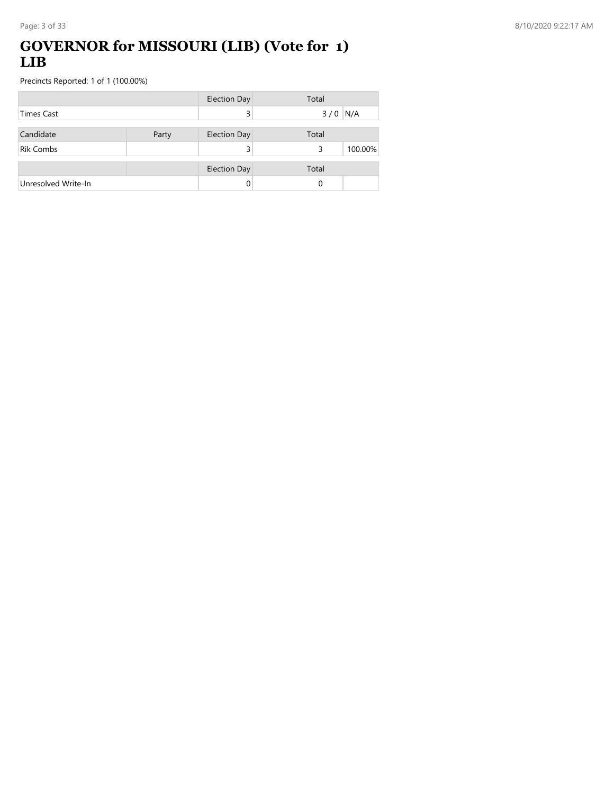## **GOVERNOR for MISSOURI (LIB) (Vote for 1) LIB**

|                     |       | <b>Election Day</b> | Total |         |
|---------------------|-------|---------------------|-------|---------|
| Times Cast          |       |                     | 3/0   | N/A     |
| Candidate           | Party | <b>Election Day</b> | Total |         |
| <b>Rik Combs</b>    |       |                     | 3     | 100.00% |
|                     |       | <b>Election Day</b> | Total |         |
| Unresolved Write-In |       |                     | 0     |         |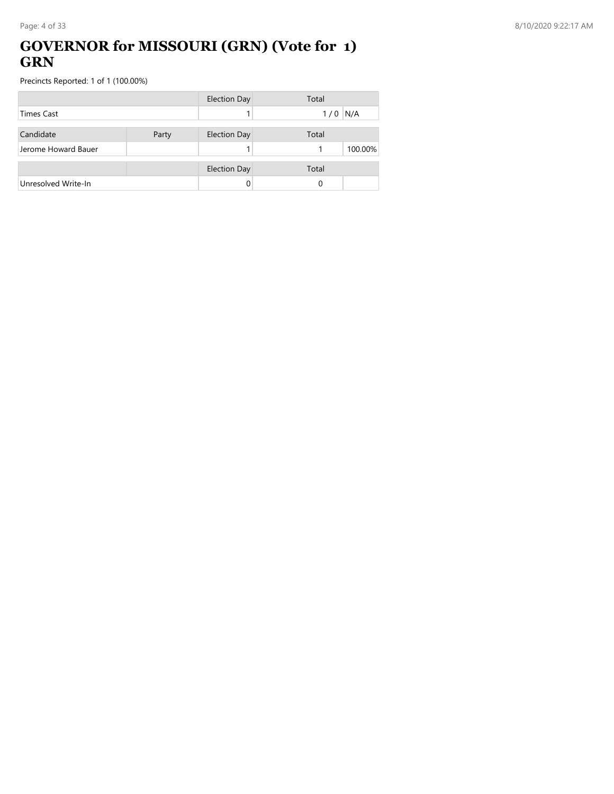### **GOVERNOR for MISSOURI (GRN) (Vote for 1) GRN**

|                     |       | <b>Election Day</b> | Total      |
|---------------------|-------|---------------------|------------|
| <b>Times Cast</b>   |       |                     | N/A<br>1/0 |
| Candidate           | Party | <b>Election Day</b> | Total      |
| Jerome Howard Bauer |       |                     | 100.00%    |
|                     |       | <b>Election Day</b> | Total      |
| Unresolved Write-In |       |                     | 0          |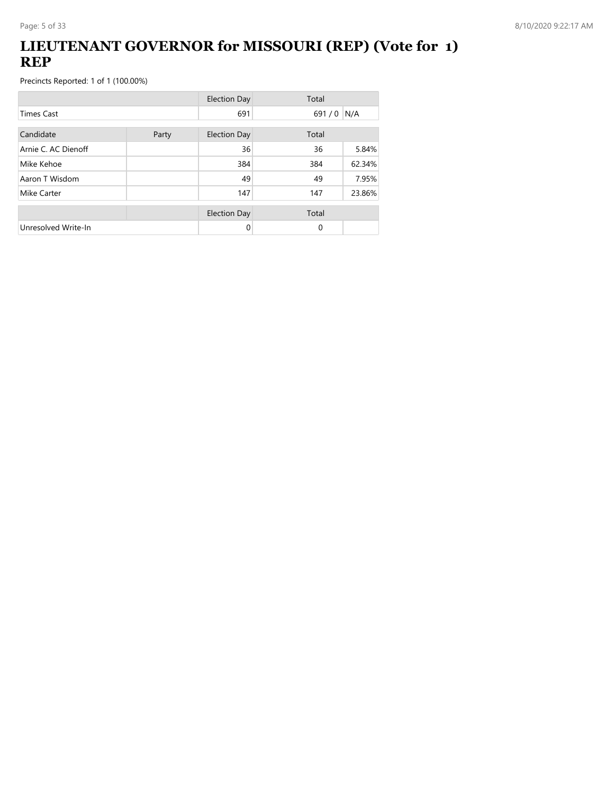## **LIEUTENANT GOVERNOR for MISSOURI (REP) (Vote for 1) REP**

|                     |  | <b>Election Day</b> | Total       |        |
|---------------------|--|---------------------|-------------|--------|
| <b>Times Cast</b>   |  | 691                 | $691/0$ N/A |        |
| Candidate<br>Party  |  | <b>Election Day</b> | Total       |        |
| Arnie C. AC Dienoff |  | 36                  | 36          | 5.84%  |
| Mike Kehoe          |  | 384                 | 384         | 62.34% |
| Aaron T Wisdom      |  | 49                  | 49          | 7.95%  |
| Mike Carter         |  | 147                 | 147         | 23.86% |
|                     |  | <b>Election Day</b> | Total       |        |
| Unresolved Write-In |  | 0                   | $\Omega$    |        |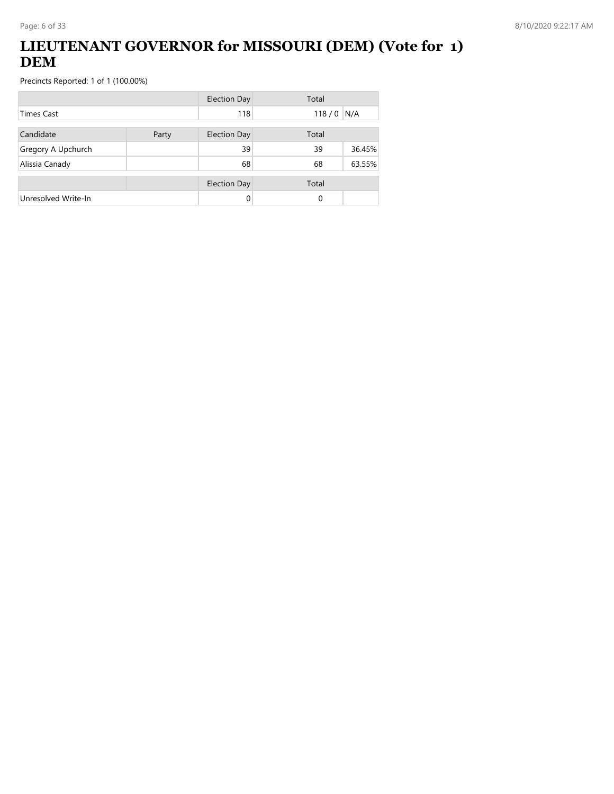## **LIEUTENANT GOVERNOR for MISSOURI (DEM) (Vote for 1) DEM**

|                     |       | <b>Election Day</b> | Total       |        |
|---------------------|-------|---------------------|-------------|--------|
| Times Cast          |       | 118                 | $118/0$ N/A |        |
| Candidate           | Party | Election Day        | Total       |        |
| Gregory A Upchurch  |       | 39                  | 39          | 36.45% |
| Alissia Canady      |       | 68                  | 68          | 63.55% |
|                     |       | <b>Election Day</b> | Total       |        |
| Unresolved Write-In |       | 0                   | $\Omega$    |        |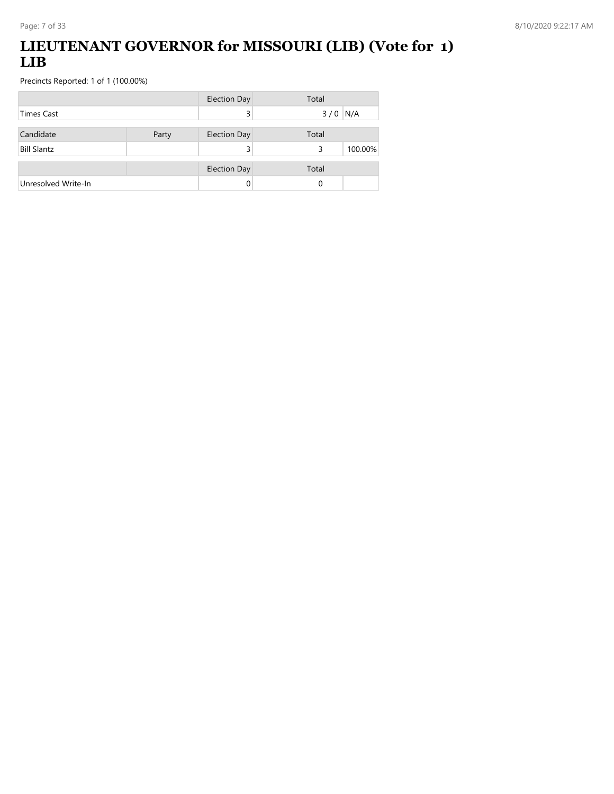## **LIEUTENANT GOVERNOR for MISSOURI (LIB) (Vote for 1) LIB**

|                     |       | <b>Election Day</b> | Total        |
|---------------------|-------|---------------------|--------------|
| Times Cast          |       | 3                   | $3/0$ N/A    |
| Candidate           | Party | <b>Election Day</b> | Total        |
| <b>Bill Slantz</b>  |       |                     | 100.00%<br>3 |
|                     |       | <b>Election Day</b> | Total        |
| Unresolved Write-In |       |                     | 0            |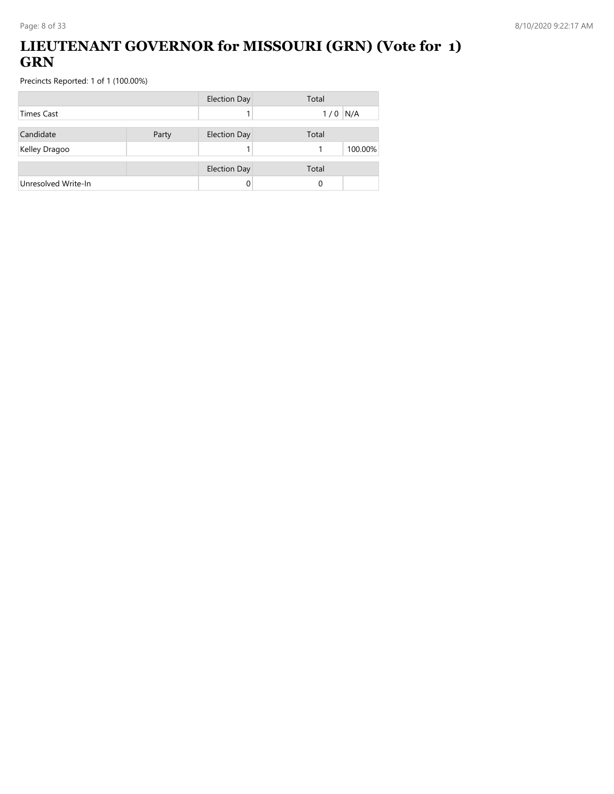## **LIEUTENANT GOVERNOR for MISSOURI (GRN) (Vote for 1) GRN**

|                     |       | <b>Election Day</b> | Total      |
|---------------------|-------|---------------------|------------|
| Times Cast          |       |                     | N/A<br>1/0 |
| Candidate           | Party | <b>Election Day</b> | Total      |
| Kelley Dragoo       |       |                     | 100.00%    |
|                     |       | <b>Election Day</b> | Total      |
| Unresolved Write-In |       | 0                   | 0          |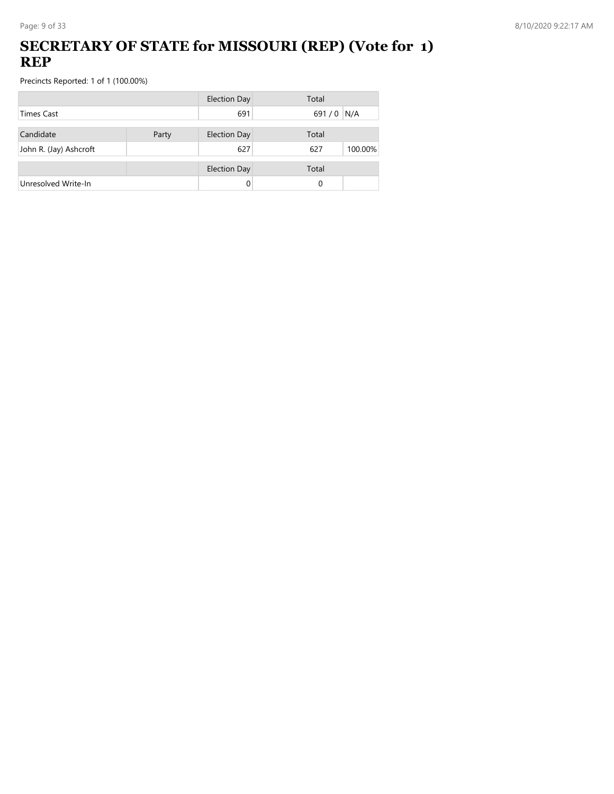## **SECRETARY OF STATE for MISSOURI (REP) (Vote for 1) REP**

|                        |       | <b>Election Day</b> | Total          |
|------------------------|-------|---------------------|----------------|
| <b>Times Cast</b>      |       | 691                 | 691 / 0 N/A    |
| Candidate              | Party | <b>Election Day</b> | Total          |
| John R. (Jay) Ashcroft |       | 627                 | 100.00%<br>627 |
|                        |       | <b>Election Day</b> | Total          |
| Unresolved Write-In    |       | 0                   | 0              |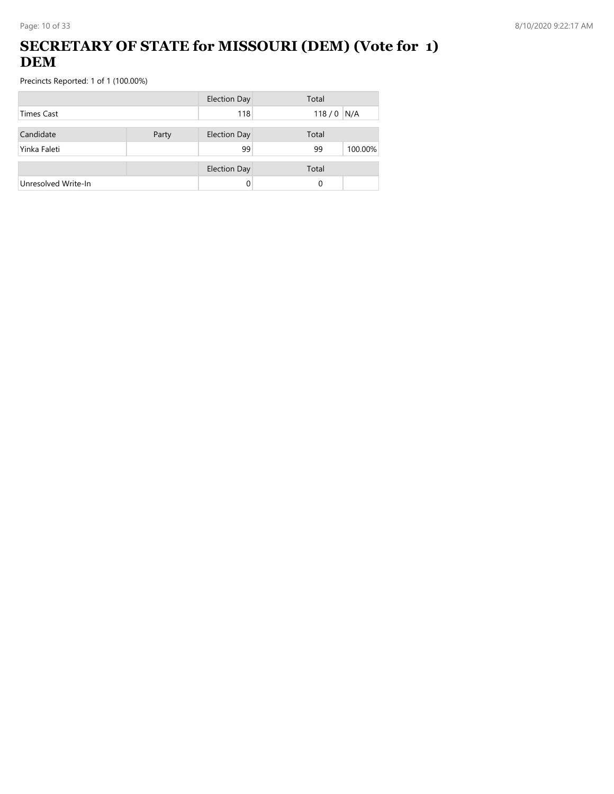## **SECRETARY OF STATE for MISSOURI (DEM) (Vote for 1) DEM**

|                     |       | <b>Election Day</b> | Total         |
|---------------------|-------|---------------------|---------------|
| <b>Times Cast</b>   |       | 118                 | $118/0$ N/A   |
| Candidate           | Party | <b>Election Day</b> | Total         |
| Yinka Faleti        |       | 99                  | 100.00%<br>99 |
|                     |       | <b>Election Day</b> | Total         |
| Unresolved Write-In |       | 0                   | 0             |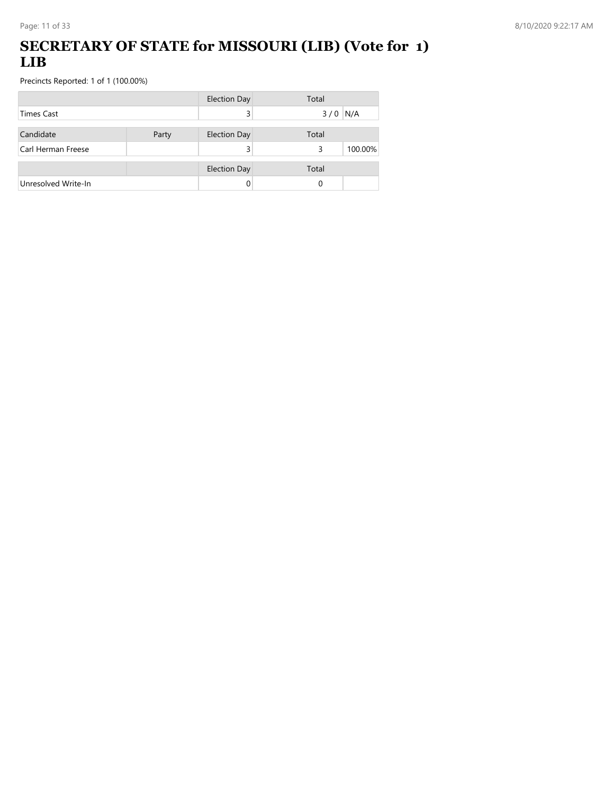### **SECRETARY OF STATE for MISSOURI (LIB) (Vote for 1) LIB**

|                     |       | <b>Election Day</b> | Total        |
|---------------------|-------|---------------------|--------------|
| <b>Times Cast</b>   |       |                     | $3/0$ N/A    |
| Candidate           | Party | <b>Election Day</b> | Total        |
| Carl Herman Freese  |       |                     | 100.00%<br>3 |
|                     |       | <b>Election Day</b> | Total        |
| Unresolved Write-In |       |                     | 0            |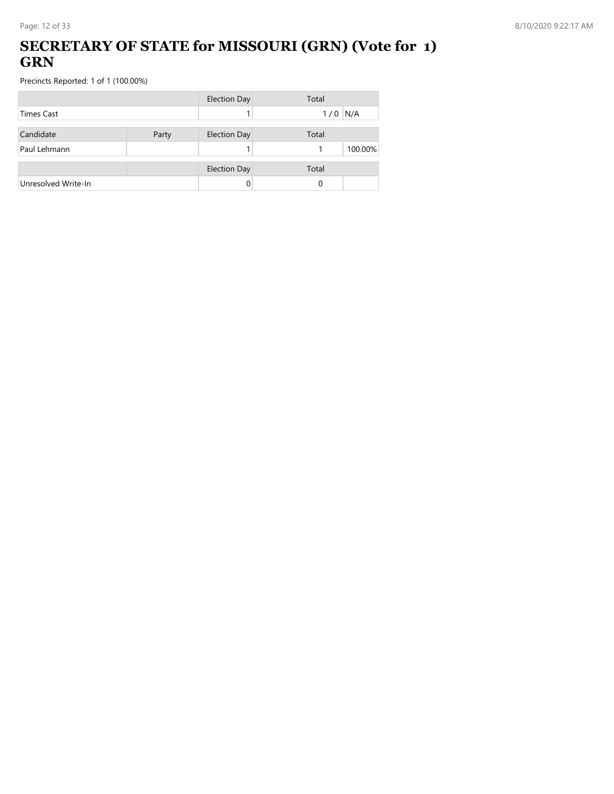### **SECRETARY OF STATE for MISSOURI (GRN) (Vote for 1) GRN**

|                     |       | <b>Election Day</b> | Total      |
|---------------------|-------|---------------------|------------|
| <b>Times Cast</b>   |       |                     | N/A<br>1/0 |
| Candidate           | Party | <b>Election Day</b> | Total      |
| Paul Lehmann        |       |                     | 100.00%    |
|                     |       | <b>Election Day</b> | Total      |
| Unresolved Write-In |       |                     | 0          |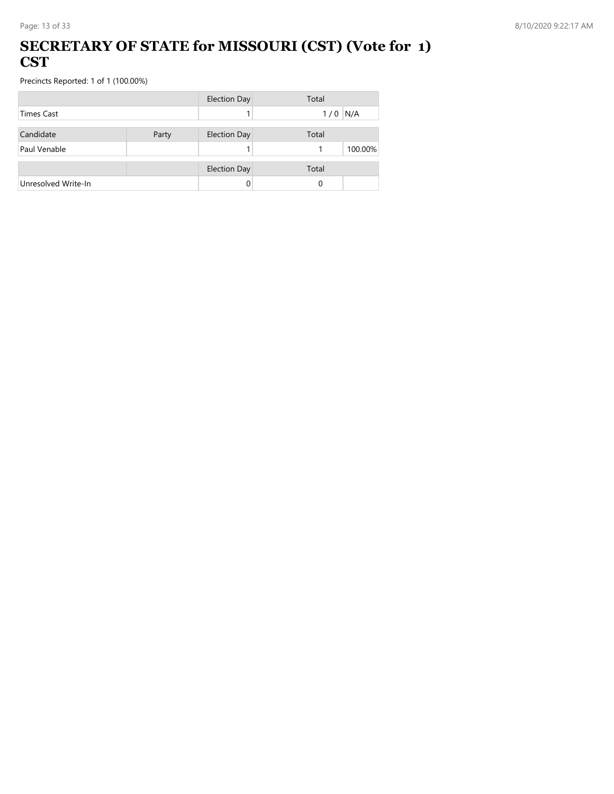#### **SECRETARY OF STATE for MISSOURI (CST) (Vote for 1) CST**

|                     |       | <b>Election Day</b> | Total      |
|---------------------|-------|---------------------|------------|
| <b>Times Cast</b>   |       |                     | N/A<br>1/0 |
| Candidate           | Party | <b>Election Day</b> | Total      |
| Paul Venable        |       |                     | 100.00%    |
|                     |       | <b>Election Day</b> | Total      |
| Unresolved Write-In |       |                     | 0          |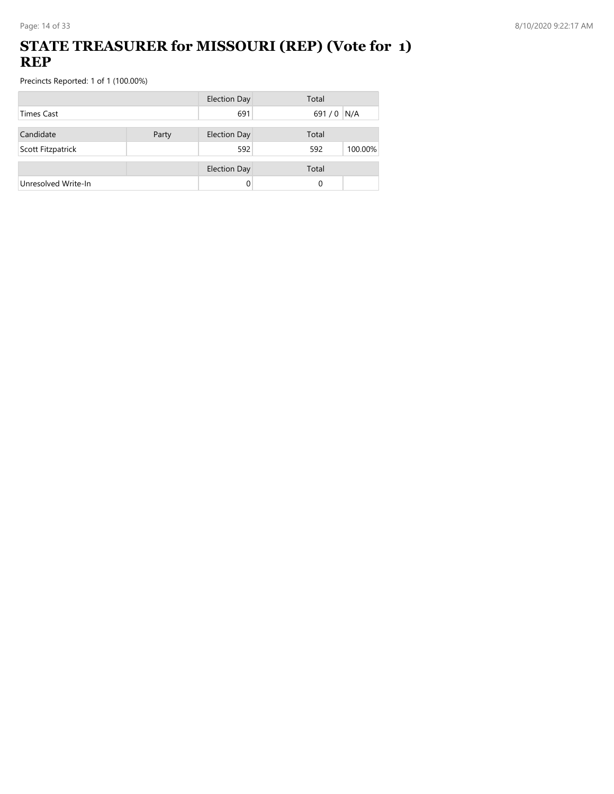### **STATE TREASURER for MISSOURI (REP) (Vote for 1) REP**

|                     |       | <b>Election Day</b> | Total          |
|---------------------|-------|---------------------|----------------|
| <b>Times Cast</b>   |       | 691                 | 691/0 N/A      |
| Candidate           | Party | <b>Election Day</b> | Total          |
|                     |       |                     |                |
| Scott Fitzpatrick   |       | 592                 | 592<br>100.00% |
|                     |       | <b>Election Day</b> | Total          |
| Unresolved Write-In |       |                     | 0              |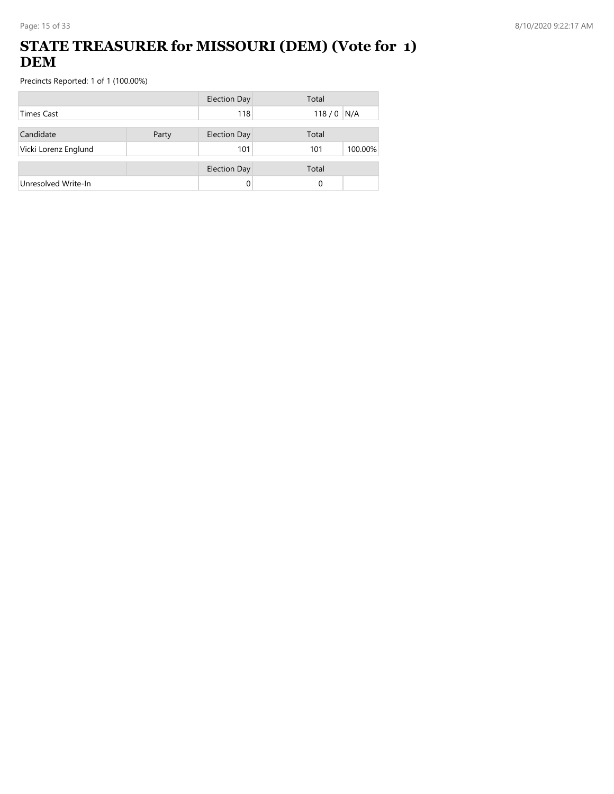## **STATE TREASURER for MISSOURI (DEM) (Vote for 1) DEM**

|                      |       | <b>Election Day</b> | Total          |
|----------------------|-------|---------------------|----------------|
| <b>Times Cast</b>    |       | 118                 | $118/0$ N/A    |
| Candidate            | Party | <b>Election Day</b> | Total          |
| Vicki Lorenz Englund |       | 101                 | 100.00%<br>101 |
|                      |       |                     |                |
|                      |       | <b>Election Day</b> | Total          |
| Unresolved Write-In  |       |                     | 0              |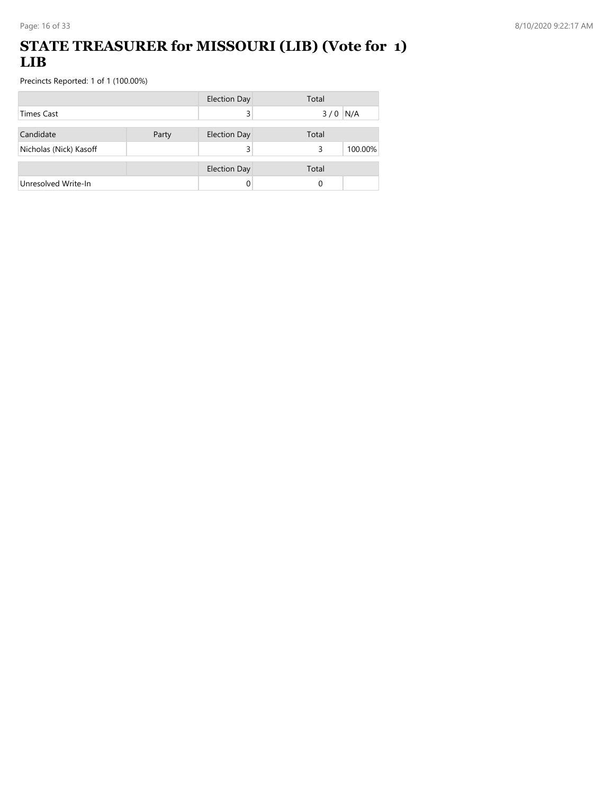### **STATE TREASURER for MISSOURI (LIB) (Vote for 1) LIB**

|                        |       | <b>Election Day</b> | Total        |
|------------------------|-------|---------------------|--------------|
| <b>Times Cast</b>      |       |                     | $3/0$ N/A    |
| Candidate              | Party | <b>Election Day</b> | Total        |
| Nicholas (Nick) Kasoff |       |                     | 100.00%<br>3 |
|                        |       | <b>Election Day</b> | Total        |
| Unresolved Write-In    |       | 0                   | 0            |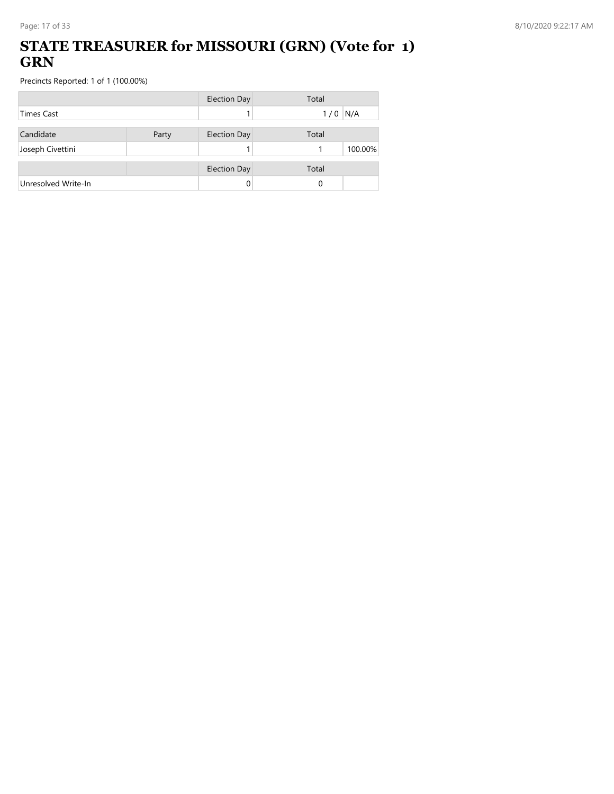### **STATE TREASURER for MISSOURI (GRN) (Vote for 1) GRN**

|                     |       | <b>Election Day</b> | Total      |
|---------------------|-------|---------------------|------------|
| <b>Times Cast</b>   |       |                     | N/A<br>1/0 |
| Candidate           | Party | <b>Election Day</b> | Total      |
| Joseph Civettini    |       |                     | 100.00%    |
|                     |       | <b>Election Day</b> | Total      |
| Unresolved Write-In |       |                     | 0          |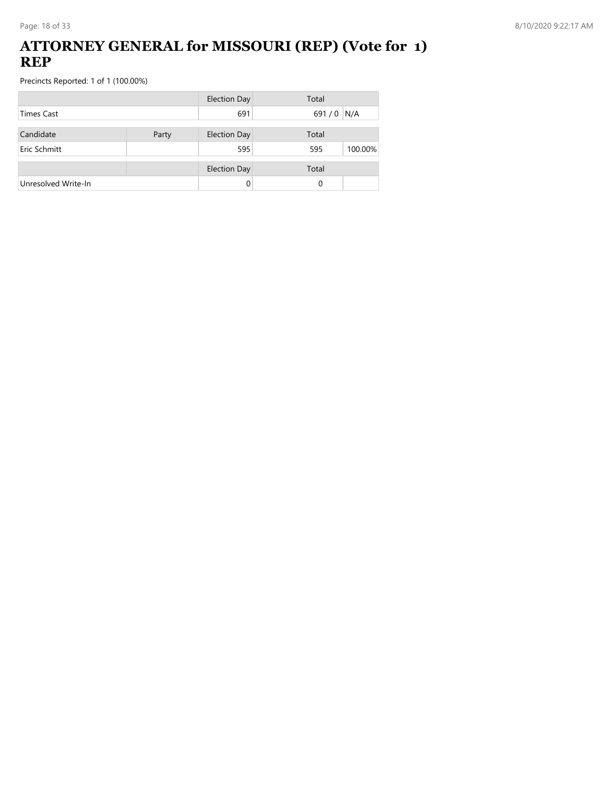### **ATTORNEY GENERAL for MISSOURI (REP) (Vote for 1) REP**

|                     |       | <b>Election Day</b> | Total          |
|---------------------|-------|---------------------|----------------|
| <b>Times Cast</b>   |       | 691                 | 691/0 N/A      |
| Candidate           | Party | <b>Election Day</b> | Total          |
| Eric Schmitt        |       | 595                 | 100.00%<br>595 |
|                     |       | <b>Election Day</b> | Total          |
| Unresolved Write-In |       | 0                   | 0              |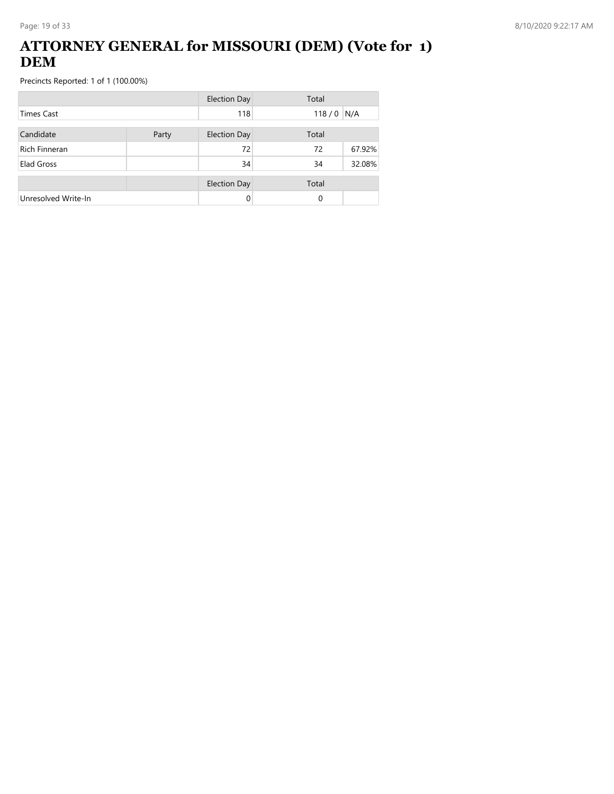### **ATTORNEY GENERAL for MISSOURI (DEM) (Vote for 1) DEM**

|                      |       | <b>Election Day</b> | Total |        |
|----------------------|-------|---------------------|-------|--------|
| Times Cast           |       | 118                 | 118/0 | N/A    |
| Candidate            | Party | <b>Election Day</b> | Total |        |
| <b>Rich Finneran</b> |       | 72                  | 72    | 67.92% |
| Elad Gross           |       | 34                  | 34    | 32.08% |
|                      |       | <b>Election Day</b> | Total |        |
| Unresolved Write-In  |       | 0                   | 0     |        |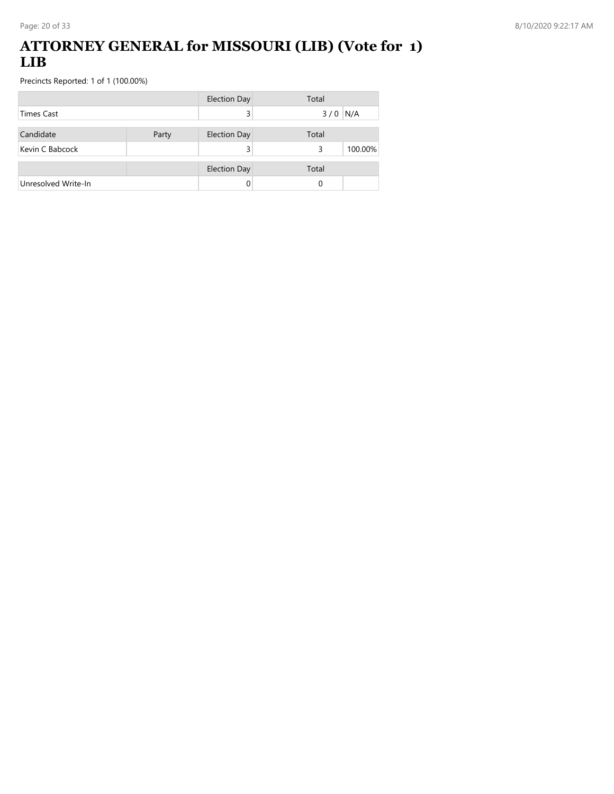### **ATTORNEY GENERAL for MISSOURI (LIB) (Vote for 1) LIB**

|                     |       | <b>Election Day</b> | Total        |
|---------------------|-------|---------------------|--------------|
| <b>Times Cast</b>   |       | 3                   | $3/0$ N/A    |
| Candidate           | Party | <b>Election Day</b> | Total        |
| Kevin C Babcock     |       |                     | 100.00%<br>3 |
|                     |       | <b>Election Day</b> | Total        |
| Unresolved Write-In |       |                     | 0            |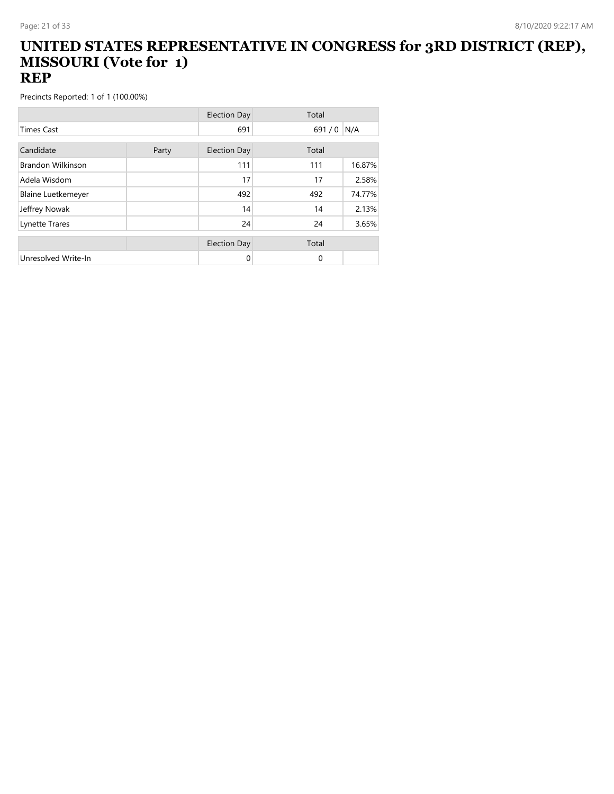#### **UNITED STATES REPRESENTATIVE IN CONGRESS for 3RD DISTRICT (REP), MISSOURI (Vote for 1) REP**

|                           |       | <b>Election Day</b> | Total       |        |
|---------------------------|-------|---------------------|-------------|--------|
| <b>Times Cast</b>         |       | 691                 | 691/0       | N/A    |
| Candidate                 | Party | <b>Election Day</b> | Total       |        |
| Brandon Wilkinson         |       | 111                 | 111         | 16.87% |
| Adela Wisdom              |       | 17                  | 17          | 2.58%  |
| <b>Blaine Luetkemeyer</b> |       | 492                 | 492         | 74.77% |
| Jeffrey Nowak             |       | 14                  | 14          | 2.13%  |
| Lynette Trares            |       | 24                  | 24          | 3.65%  |
|                           |       | <b>Election Day</b> | Total       |        |
| Unresolved Write-In       |       | 0                   | $\mathbf 0$ |        |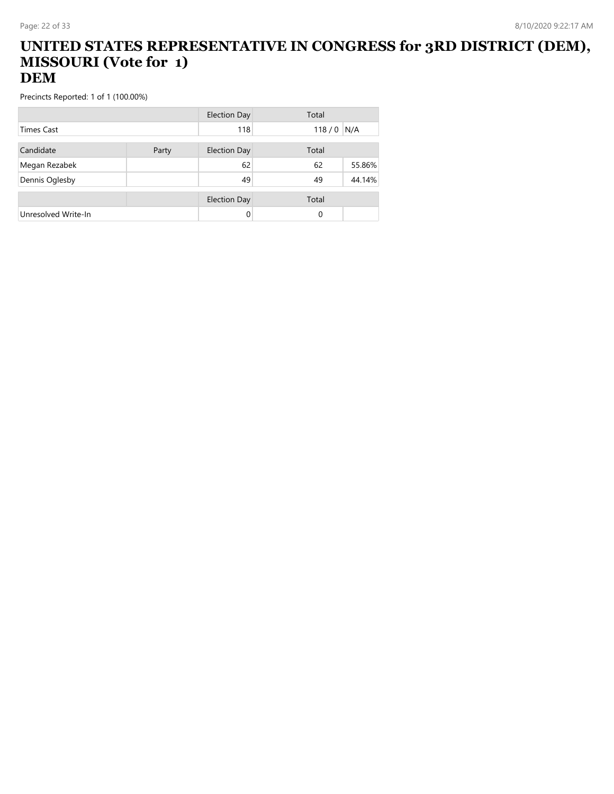#### **UNITED STATES REPRESENTATIVE IN CONGRESS for 3RD DISTRICT (DEM), MISSOURI (Vote for 1) DEM**

|                     |       | Election Day        | Total    |        |
|---------------------|-------|---------------------|----------|--------|
| <b>Times Cast</b>   |       | 118                 | 118/0    | N/A    |
| Candidate           | Party | <b>Election Day</b> | Total    |        |
|                     |       |                     |          |        |
| Megan Rezabek       |       | 62                  | 62       | 55.86% |
| Dennis Oglesby      |       | 49                  | 49       | 44.14% |
|                     |       |                     |          |        |
|                     |       | <b>Election Day</b> | Total    |        |
| Unresolved Write-In |       | 0                   | $\Omega$ |        |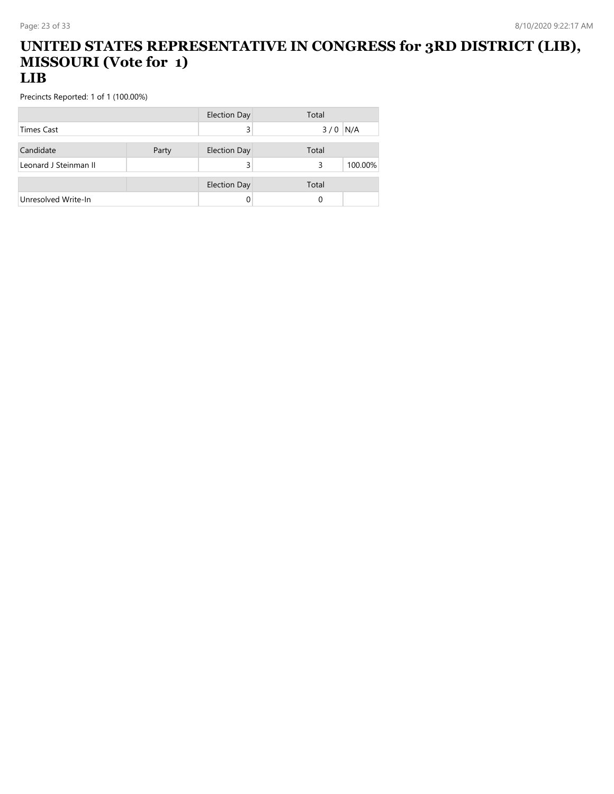#### **UNITED STATES REPRESENTATIVE IN CONGRESS for 3RD DISTRICT (LIB), MISSOURI (Vote for 1) LIB**

|                       |       | Election Day        | Total |         |
|-----------------------|-------|---------------------|-------|---------|
| <b>Times Cast</b>     |       |                     | 3/0   | N/A     |
| Candidate             | Party | <b>Election Day</b> | Total |         |
| Leonard J Steinman II |       |                     | 3     | 100.00% |
|                       |       |                     |       |         |
|                       |       | <b>Election Day</b> | Total |         |
| Unresolved Write-In   |       |                     | 0     |         |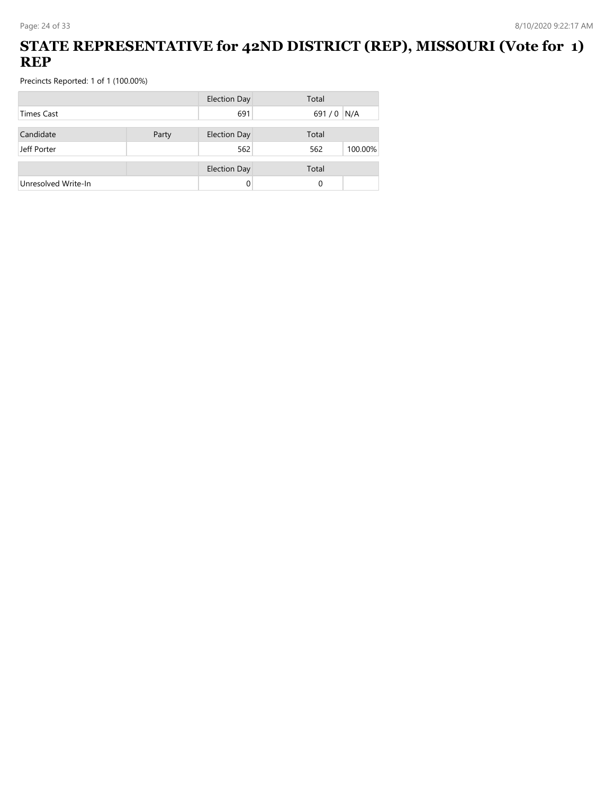## **STATE REPRESENTATIVE for 42ND DISTRICT (REP), MISSOURI (Vote for 1) REP**

|                     |       | <b>Election Day</b> | Total          |
|---------------------|-------|---------------------|----------------|
| <b>Times Cast</b>   |       | 691                 | 691/0<br>N/A   |
| Candidate           | Party | <b>Election Day</b> | Total          |
| Jeff Porter         |       | 562                 | 100.00%<br>562 |
|                     |       |                     |                |
|                     |       | <b>Election Day</b> | Total          |
| Unresolved Write-In |       |                     | 0              |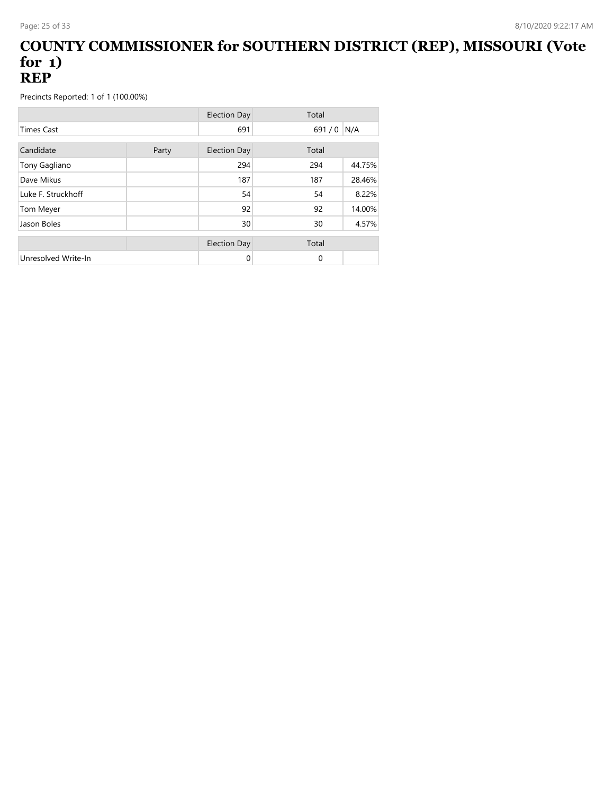#### **COUNTY COMMISSIONER for SOUTHERN DISTRICT (REP), MISSOURI (Vote for 1) REP**

|                     |       | <b>Election Day</b> | Total    |        |
|---------------------|-------|---------------------|----------|--------|
| <b>Times Cast</b>   |       | 691                 | 691/0    | N/A    |
| Candidate           | Party | <b>Election Day</b> | Total    |        |
| Tony Gagliano       |       | 294                 | 294      | 44.75% |
| Dave Mikus          |       | 187                 | 187      | 28.46% |
| Luke F. Struckhoff  |       | 54                  | 54       | 8.22%  |
| Tom Meyer           |       | 92                  | 92       | 14.00% |
| Jason Boles         |       | 30                  | 30       | 4.57%  |
|                     |       | <b>Election Day</b> | Total    |        |
| Unresolved Write-In |       | 0                   | $\Omega$ |        |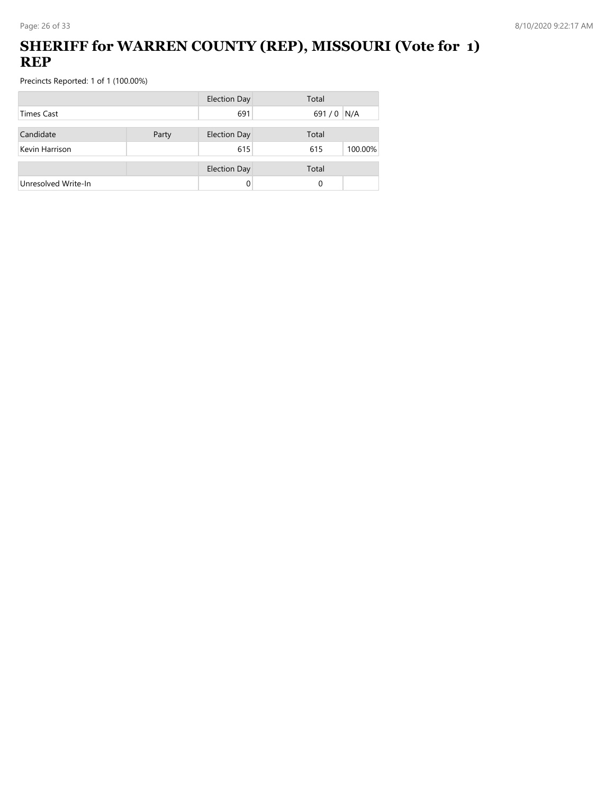## **SHERIFF for WARREN COUNTY (REP), MISSOURI (Vote for 1) REP**

|                     |  | <b>Election Day</b> | Total          |
|---------------------|--|---------------------|----------------|
| <b>Times Cast</b>   |  | 691                 | 691/0<br>N/A   |
| Candidate<br>Party  |  | <b>Election Day</b> | Total          |
| Kevin Harrison      |  | 615                 | 100.00%<br>615 |
|                     |  | <b>Election Day</b> | Total          |
| Unresolved Write-In |  | 0                   | 0              |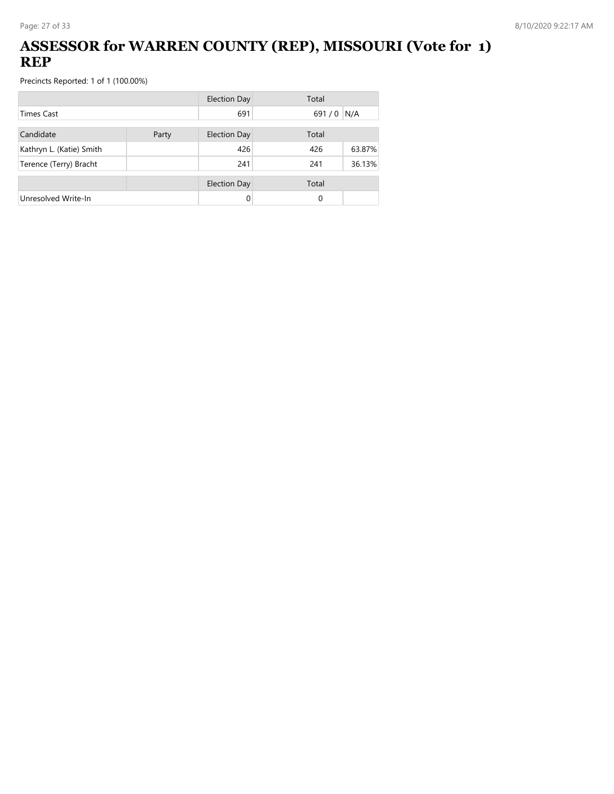## **ASSESSOR for WARREN COUNTY (REP), MISSOURI (Vote for 1) REP**

|                          |       | <b>Election Day</b> | Total |        |
|--------------------------|-------|---------------------|-------|--------|
| <b>Times Cast</b>        |       | 691                 | 691/0 | N/A    |
| Candidate                | Party | Election Day        | Total |        |
| Kathryn L. (Katie) Smith |       | 426                 | 426   | 63.87% |
| Terence (Terry) Bracht   |       | 241                 | 241   | 36.13% |
|                          |       | <b>Election Day</b> | Total |        |
| Unresolved Write-In      |       | 0                   | 0     |        |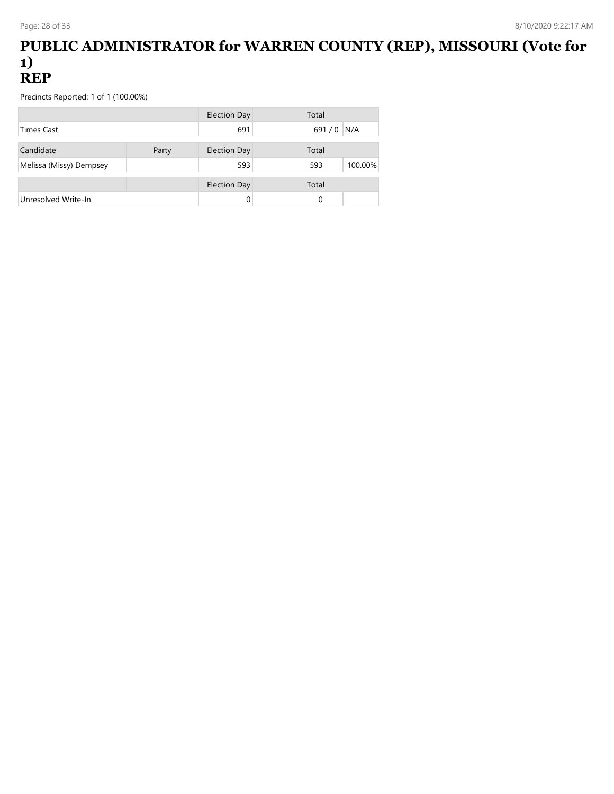#### **PUBLIC ADMINISTRATOR for WARREN COUNTY (REP), MISSOURI (Vote for 1) REP**

|                         |       | Election Day        | Total     |         |
|-------------------------|-------|---------------------|-----------|---------|
| <b>Times Cast</b>       |       | 691                 | 691/0 N/A |         |
| Candidate               | Party | <b>Election Day</b> | Total     |         |
| Melissa (Missy) Dempsey |       | 593                 | 593       | 100.00% |
|                         |       |                     |           |         |
|                         |       | <b>Election Day</b> | Total     |         |
| Unresolved Write-In     |       |                     | 0         |         |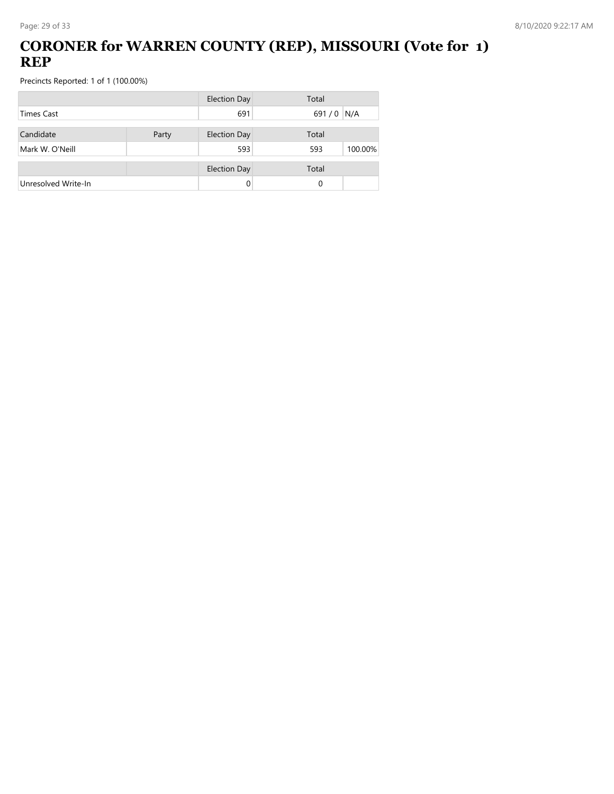## **CORONER for WARREN COUNTY (REP), MISSOURI (Vote for 1) REP**

|                     |       | <b>Election Day</b> | Total          |
|---------------------|-------|---------------------|----------------|
| <b>Times Cast</b>   |       | 691                 | 691/0<br>N/A   |
| Candidate           | Party | <b>Election Day</b> | Total          |
| Mark W. O'Neill     |       | 593                 | 100.00%<br>593 |
|                     |       | <b>Election Day</b> | Total          |
| Unresolved Write-In |       | 0                   | 0              |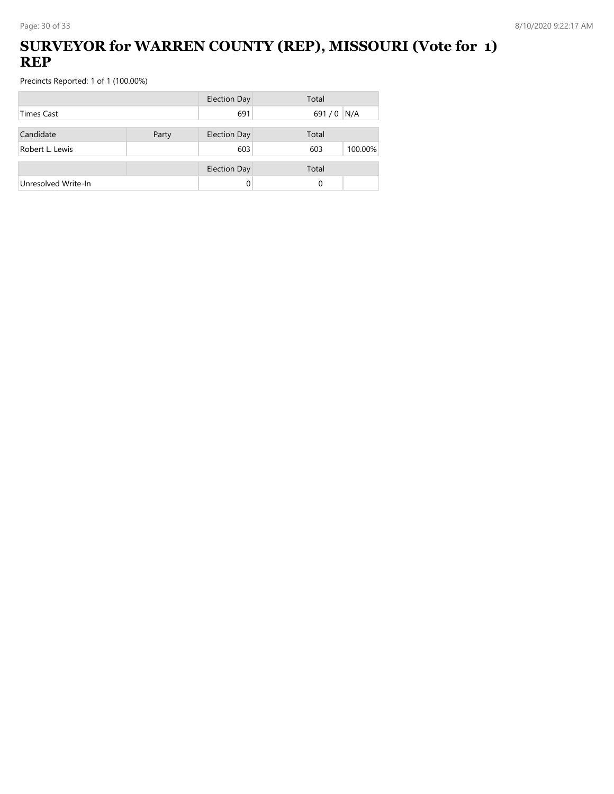## **SURVEYOR for WARREN COUNTY (REP), MISSOURI (Vote for 1) REP**

|                     |  | <b>Election Day</b> | Total          |
|---------------------|--|---------------------|----------------|
| <b>Times Cast</b>   |  | 691                 | 691/0<br>N/A   |
| Candidate<br>Party  |  | <b>Election Day</b> | Total          |
| Robert L. Lewis     |  | 603                 | 100.00%<br>603 |
|                     |  | <b>Election Day</b> | Total          |
| Unresolved Write-In |  | 0                   | 0              |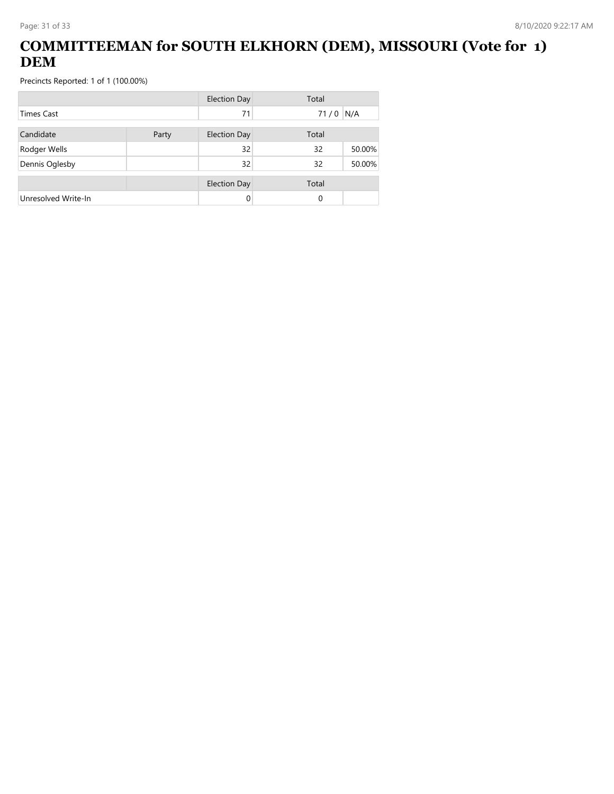## **COMMITTEEMAN for SOUTH ELKHORN (DEM), MISSOURI (Vote for 1) DEM**

|                     |       | <b>Election Day</b> | Total      |        |
|---------------------|-------|---------------------|------------|--------|
| <b>Times Cast</b>   |       | 71                  | $71/0$ N/A |        |
| Candidate           | Party | <b>Election Day</b> | Total      |        |
| Rodger Wells        |       | 32                  | 32         | 50.00% |
| Dennis Oglesby      |       | 32                  | 32         | 50.00% |
|                     |       | <b>Election Day</b> | Total      |        |
| Unresolved Write-In |       | 0                   | 0          |        |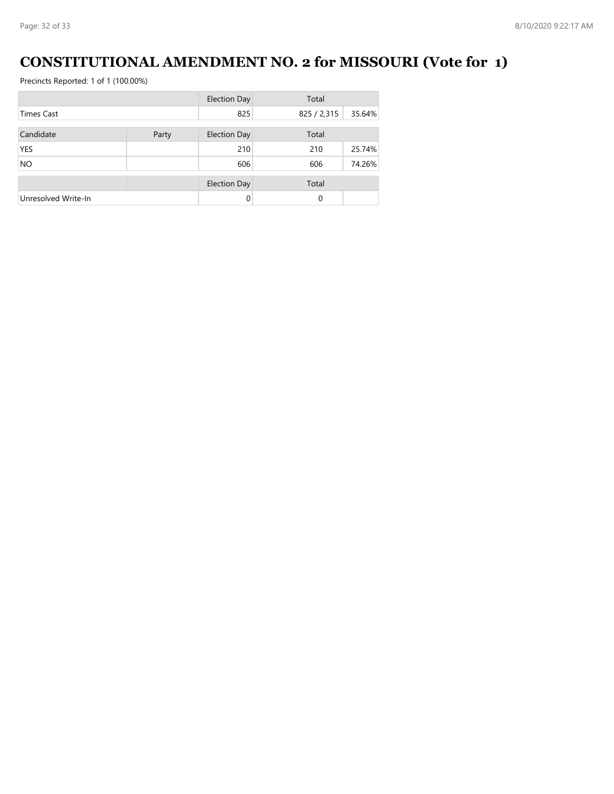# **CONSTITUTIONAL AMENDMENT NO. 2 for MISSOURI (Vote for 1)**

|                     |       | <b>Election Day</b> | Total       |        |
|---------------------|-------|---------------------|-------------|--------|
| <b>Times Cast</b>   |       | 825                 | 825 / 2,315 | 35.64% |
|                     |       |                     |             |        |
| Candidate           | Party | <b>Election Day</b> | Total       |        |
| <b>YES</b>          |       | 210                 | 210         | 25.74% |
| <b>NO</b>           |       | 606                 | 606         | 74.26% |
|                     |       | <b>Election Day</b> | Total       |        |
| Unresolved Write-In |       | $\Omega$            | 0           |        |